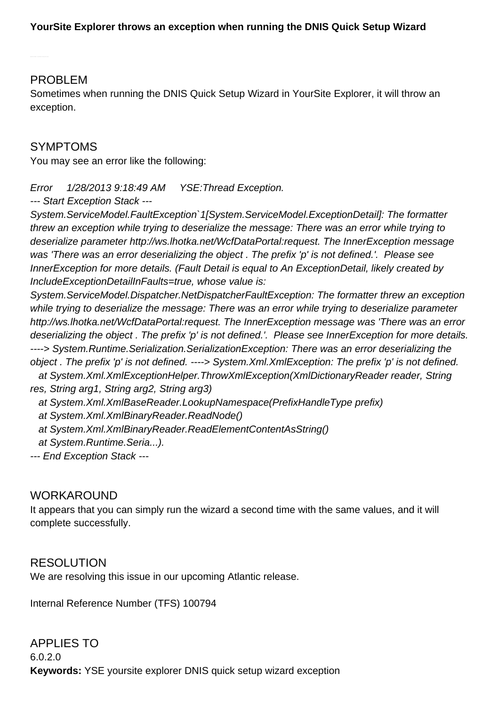## PROBLEM

Sometimes when running the DNIS Quick Setup Wizard in YourSite Explorer, it will throw an exception.

## SYMPTOMS

You may see an error like the following:

Error 1/28/2013 9:18:49 AM YSE:Thread Exception.

--- Start Exception Stack ---

System.ServiceModel.FaultException`1[System.ServiceModel.ExceptionDetail]: The formatter threw an exception while trying to deserialize the message: There was an error while trying to deserialize parameter [http://ws.lhotka.net/WcfDataPortal:request.](http://ws.lhotka.net/WcfDataPortal:request) The InnerException message was 'There was an error deserializing the object . The prefix 'p' is not defined.'. Please see InnerException for more details. (Fault Detail is equal to An ExceptionDetail, likely created by IncludeExceptionDetailInFaults=true, whose value is:

System.ServiceModel.Dispatcher.NetDispatcherFaultException: The formatter threw an exception while trying to deserialize the message: There was an error while trying to deserialize parameter <http://ws.lhotka.net/WcfDataPortal:request>. The InnerException message was 'There was an error deserializing the object . The prefix 'p' is not defined.'. Please see InnerException for more details. ----> System.Runtime.Serialization.SerializationException: There was an error deserializing the object . The prefix 'p' is not defined. ----> System.Xml.XmlException: The prefix 'p' is not defined. at System.Xml.XmlExceptionHelper.ThrowXmlException(XmlDictionaryReader reader, String res, String arg1, String arg2, String arg3) at System.Xml.XmlBaseReader.LookupNamespace(PrefixHandleType prefix) at System.Xml.XmlBinaryReader.ReadNode() at System.Xml.XmlBinaryReader.ReadElementContentAsString() at System.Runtime.Seria...).

--- End Exception Stack ---

## WORKAROUND

It appears that you can simply run the wizard a second time with the same values, and it will complete successfully.

## RESOLUTION

We are resolving this issue in our upcoming Atlantic release.

Internal Reference Number (TFS) 100794